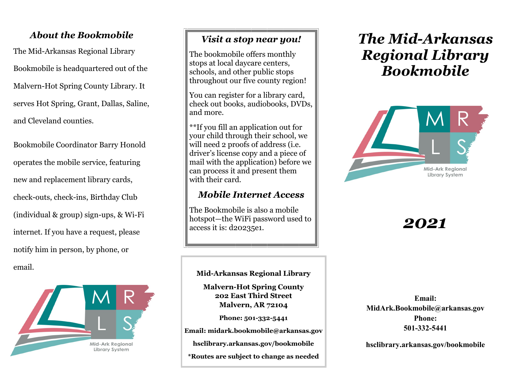## *About the Bookmobile*

The Mid-Arkansas Regional Library Bookmobile is headquartered out of the Malvern-Hot Spring County Library. It serves Hot Spring, Grant, Dallas, Saline, and Cleveland counties.

Bookmobile Coordinator Barry Honold operates the mobile service, featuring new and replacement library cards, check-outs, check-ins, Birthday Club (individual & group) sign-ups, & Wi-Fi internet. If you have a request, please notify him in person, by phone, or email.



## *Visit a stop near you!*

The bookmobile offers monthly stops at local daycare centers, schools, and other public stops throughout our five county region!

You can register for a library card, check out books, audiobooks, DVDs, and more.

\*\*If you fill an application out for your child through their school, we will need 2 proofs of address (i.e. driver's license copy and a piece of mail with the application) before we can process it and present them with their card.

## *Mobile Internet Access*

The Bookmobile is also a mobile hotspot—the WiFi password used to  $\|$  **2021** 

### **Mid-Arkansas Regional Library**

**Malvern-Hot Spring County 202 East Third Street Malvern, AR 72104**

**Phone: 501-332-5441**

**Email: midark.bookmobile@arkansas.gov**

**hsclibrary.arkansas.gov/bookmobile**

**\*Routes are subject to change as needed**

# *The Mid-Arkansas Regional Library Bookmobile*



**Email: MidArk.Bookmobile@arkansas.gov Phone: 501-332-5441**

**hsclibrary.arkansas.gov/bookmobile**